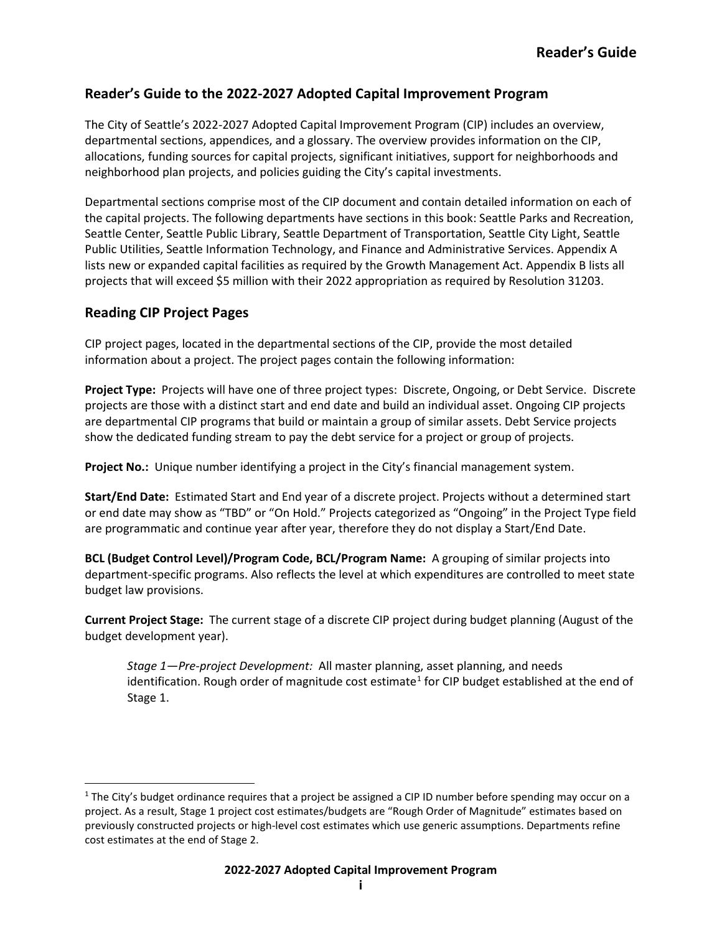## **Reader's Guide to the 2022-2027 Adopted Capital Improvement Program**

The City of Seattle's 2022-2027 Adopted Capital Improvement Program (CIP) includes an overview, departmental sections, appendices, and a glossary. The overview provides information on the CIP, allocations, funding sources for capital projects, significant initiatives, support for neighborhoods and neighborhood plan projects, and policies guiding the City's capital investments.

Departmental sections comprise most of the CIP document and contain detailed information on each of the capital projects. The following departments have sections in this book: Seattle Parks and Recreation, Seattle Center, Seattle Public Library, Seattle Department of Transportation, Seattle City Light, Seattle Public Utilities, Seattle Information Technology, and Finance and Administrative Services. Appendix A lists new or expanded capital facilities as required by the Growth Management Act. Appendix B lists all projects that will exceed \$5 million with their 2022 appropriation as required by Resolution 31203.

## **Reading CIP Project Pages**

CIP project pages, located in the departmental sections of the CIP, provide the most detailed information about a project. The project pages contain the following information:

**Project Type:** Projects will have one of three project types: Discrete, Ongoing, or Debt Service. Discrete projects are those with a distinct start and end date and build an individual asset. Ongoing CIP projects are departmental CIP programs that build or maintain a group of similar assets. Debt Service projects show the dedicated funding stream to pay the debt service for a project or group of projects.

**Project No.:** Unique number identifying a project in the City's financial management system.

**Start/End Date:** Estimated Start and End year of a discrete project. Projects without a determined start or end date may show as "TBD" or "On Hold." Projects categorized as "Ongoing" in the Project Type field are programmatic and continue year after year, therefore they do not display a Start/End Date.

**BCL (Budget Control Level)/Program Code, BCL/Program Name:** A grouping of similar projects into department-specific programs. Also reflects the level at which expenditures are controlled to meet state budget law provisions.

**Current Project Stage:** The current stage of a discrete CIP project during budget planning (August of the budget development year).

*Stage 1—Pre-project Development:* All master planning, asset planning, and needs identification. Rough order of magnitude cost estimate<sup>[1](#page-0-0)</sup> for CIP budget established at the end of Stage 1.

<span id="page-0-0"></span> $1$  The City's budget ordinance requires that a project be assigned a CIP ID number before spending may occur on a project. As a result, Stage 1 project cost estimates/budgets are "Rough Order of Magnitude" estimates based on previously constructed projects or high-level cost estimates which use generic assumptions. Departments refine cost estimates at the end of Stage 2.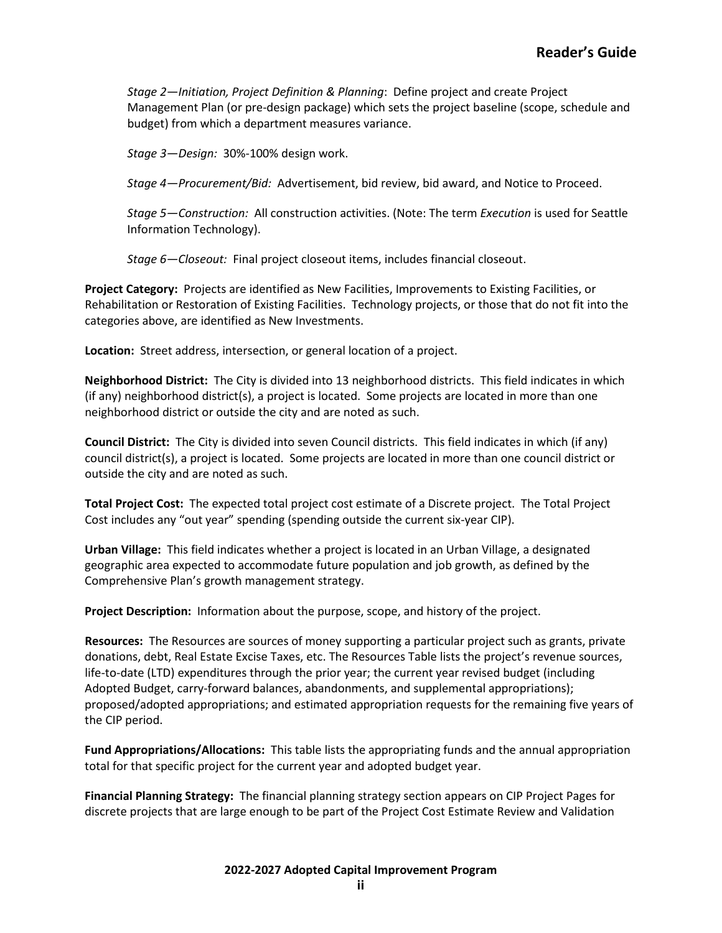*Stage 2—Initiation, Project Definition & Planning*: Define project and create Project Management Plan (or pre-design package) which sets the project baseline (scope, schedule and budget) from which a department measures variance.

*Stage 3—Design:* 30%-100% design work.

*Stage 4—Procurement/Bid:* Advertisement, bid review, bid award, and Notice to Proceed.

*Stage 5—Construction:* All construction activities. (Note: The term *Execution* is used for Seattle Information Technology).

*Stage 6—Closeout:* Final project closeout items, includes financial closeout.

**Project Category:** Projects are identified as New Facilities, Improvements to Existing Facilities, or Rehabilitation or Restoration of Existing Facilities. Technology projects, or those that do not fit into the categories above, are identified as New Investments.

**Location:** Street address, intersection, or general location of a project.

**Neighborhood District:** The City is divided into 13 neighborhood districts. This field indicates in which (if any) neighborhood district(s), a project is located. Some projects are located in more than one neighborhood district or outside the city and are noted as such.

**Council District:** The City is divided into seven Council districts. This field indicates in which (if any) council district(s), a project is located. Some projects are located in more than one council district or outside the city and are noted as such.

**Total Project Cost:** The expected total project cost estimate of a Discrete project. The Total Project Cost includes any "out year" spending (spending outside the current six-year CIP).

**Urban Village:** This field indicates whether a project is located in an Urban Village, a designated geographic area expected to accommodate future population and job growth, as defined by the Comprehensive Plan's growth management strategy.

**Project Description:** Information about the purpose, scope, and history of the project.

**Resources:** The Resources are sources of money supporting a particular project such as grants, private donations, debt, Real Estate Excise Taxes, etc. The Resources Table lists the project's revenue sources, life-to-date (LTD) expenditures through the prior year; the current year revised budget (including Adopted Budget, carry-forward balances, abandonments, and supplemental appropriations); proposed/adopted appropriations; and estimated appropriation requests for the remaining five years of the CIP period.

**Fund Appropriations/Allocations:** This table lists the appropriating funds and the annual appropriation total for that specific project for the current year and adopted budget year.

**Financial Planning Strategy:** The financial planning strategy section appears on CIP Project Pages for discrete projects that are large enough to be part of the Project Cost Estimate Review and Validation

**2022-2027 Adopted Capital Improvement Program**